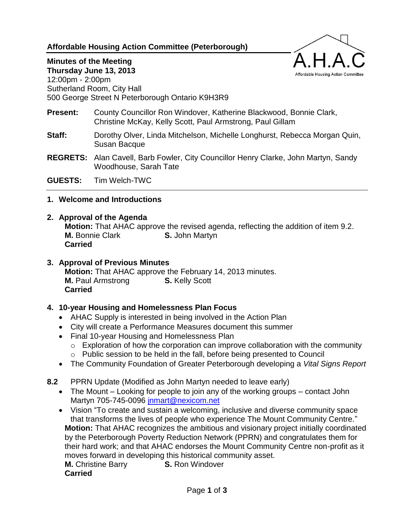**Affordable Housing Action Committee (Peterborough)**



# **Minutes of the Meeting**

**Thursday June 13, 2013** 12:00pm - 2:00pm Sutherland Room, City Hall 500 George Street N Peterborough Ontario K9H3R9

- **Present:** County Councillor Ron Windover, Katherine Blackwood, Bonnie Clark, Christine McKay, Kelly Scott, Paul Armstrong, Paul Gillam
- **Staff:** Dorothy Olver, Linda Mitchelson, Michelle Longhurst, Rebecca Morgan Quin, Susan Bacque
- **REGRETS:** Alan Cavell, Barb Fowler, City Councillor Henry Clarke, John Martyn, Sandy Woodhouse, Sarah Tate

**GUESTS:** Tim Welch-TWC

### **1. Welcome and Introductions**

### **2. Approval of the Agenda**

**Motion:** That AHAC approve the revised agenda, reflecting the addition of item 9.2. **M.** Bonnie Clark **S.** John Martyn **Carried**

### **3. Approval of Previous Minutes**

**Motion:** That AHAC approve the February 14, 2013 minutes. **M.** Paul Armstrong **S.** Kelly Scott **Carried**

### **4. 10-year Housing and Homelessness Plan Focus**

- AHAC Supply is interested in being involved in the Action Plan
- City will create a Performance Measures document this summer
- Final 10-year Housing and Homelessness Plan
	- $\circ$  Exploration of how the corporation can improve collaboration with the community o Public session to be held in the fall, before being presented to Council
- The Community Foundation of Greater Peterborough developing a *Vital Signs Report*
- **8.2** PPRN Update (Modified as John Martyn needed to leave early)
	- The Mount Looking for people to join any of the working groups contact John Martyn 705-745-0096 [jnmart@nexicom.net](mailto:jnmart@nexicom.net)
	- Vision "To create and sustain a welcoming, inclusive and diverse community space that transforms the lives of people who experience The Mount Community Centre." **Motion:** That AHAC recognizes the ambitious and visionary project initially coordinated by the Peterborough Poverty Reduction Network (PPRN) and congratulates them for their hard work; and that AHAC endorses the Mount Community Centre non-profit as it moves forward in developing this historical community asset.

**M.** Christine Barry **S.** Ron Windover **Carried**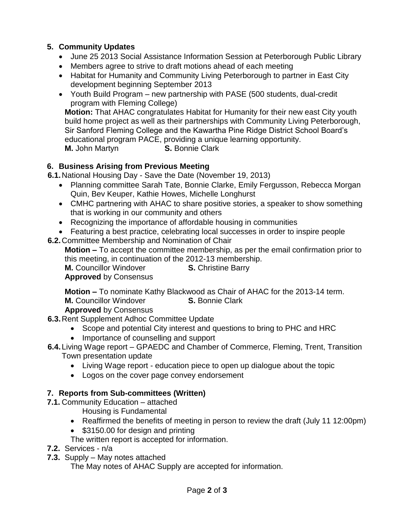## **5. Community Updates**

- June 25 2013 Social Assistance Information Session at Peterborough Public Library
- Members agree to strive to draft motions ahead of each meeting
- Habitat for Humanity and Community Living Peterborough to partner in East City development beginning September 2013
- Youth Build Program new partnership with PASE (500 students, dual-credit program with Fleming College)

**Motion:** That AHAC congratulates Habitat for Humanity for their new east City youth build home project as well as their partnerships with Community Living Peterborough, Sir Sanford Fleming College and the Kawartha Pine Ridge District School Board's educational program PACE, providing a unique learning opportunity. **M.** John Martyn **S.** Bonnie Clark

## **6. Business Arising from Previous Meeting**

**6.1.**National Housing Day - Save the Date (November 19, 2013)

- Planning committee Sarah Tate, Bonnie Clarke, Emily Fergusson, Rebecca Morgan Quin, Bev Keuper, Kathie Howes, Michelle Longhurst
- CMHC partnering with AHAC to share positive stories, a speaker to show something that is working in our community and others
- Recognizing the importance of affordable housing in communities
- Featuring a best practice, celebrating local successes in order to inspire people
- **6.2.**Committee Membership and Nomination of Chair

**Motion –** To accept the committee membership, as per the email confirmation prior to this meeting, in continuation of the 2012-13 membership.<br> **M.** Councillor Windover<br> **S.** Christine Barry

**S.** Christine Barry

**Approved** by Consensus

**Motion –** To nominate Kathy Blackwood as Chair of AHAC for the 2013-14 term. **M.** Councillor Windover **S.** Bonnie Clark

**Approved** by Consensus

- **6.3.**Rent Supplement Adhoc Committee Update
	- Scope and potential City interest and questions to bring to PHC and HRC
	- Importance of counselling and support
- **6.4.**Living Wage report GPAEDC and Chamber of Commerce, Fleming, Trent, Transition Town presentation update
	- Living Wage report education piece to open up dialogue about the topic
	- Logos on the cover page convey endorsement

## **7. Reports from Sub-committees (Written)**

**7.1.** Community Education – attached

Housing is Fundamental

- Reaffirmed the benefits of meeting in person to review the draft (July 11 12:00pm)
- \$3150.00 for design and printing

The written report is accepted for information.

- **7.2.** Services n/a
- **7.3.** Supply May notes attached

The May notes of AHAC Supply are accepted for information.